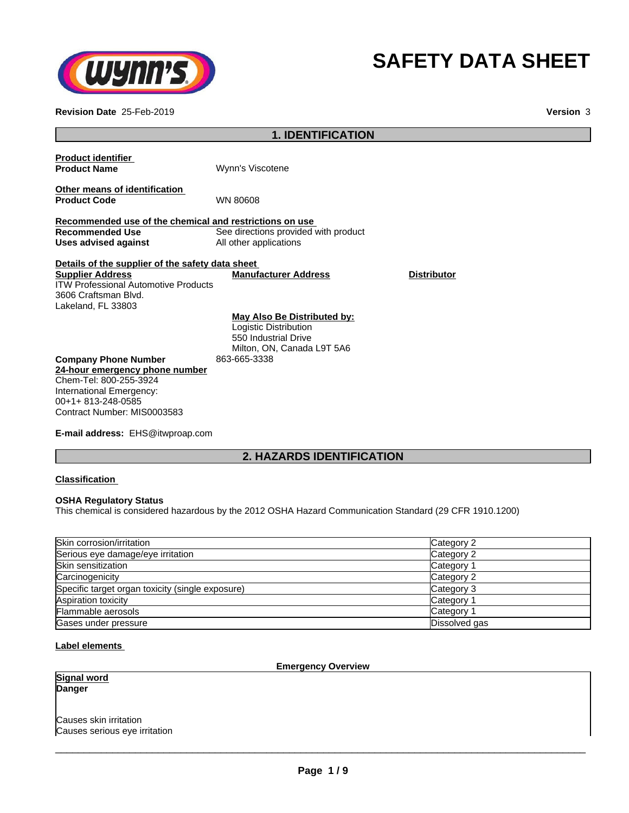

# **SAFETY DATA SHEET**

**Revision Date** 25-Feb-2019 **Version** 3

| <b>1. IDENTIFICATION</b>                                                                                                                                                 |                                                                                                            |                    |  |  |
|--------------------------------------------------------------------------------------------------------------------------------------------------------------------------|------------------------------------------------------------------------------------------------------------|--------------------|--|--|
| <b>Product identifier</b><br><b>Product Name</b>                                                                                                                         | Wynn's Viscotene                                                                                           |                    |  |  |
| Other means of identification<br><b>Product Code</b>                                                                                                                     | <b>WN 80608</b>                                                                                            |                    |  |  |
| Recommended use of the chemical and restrictions on use<br><b>Recommended Use</b><br>Uses advised against                                                                | See directions provided with product<br>All other applications                                             |                    |  |  |
| Details of the supplier of the safety data sheet<br><b>Supplier Address</b><br><b>ITW Professional Automotive Products</b><br>3606 Craftsman Blvd.<br>Lakeland, FL 33803 | <b>Manufacturer Address</b>                                                                                | <b>Distributor</b> |  |  |
|                                                                                                                                                                          | May Also Be Distributed by:<br>Logistic Distribution<br>550 Industrial Drive<br>Milton, ON, Canada L9T 5A6 |                    |  |  |
| <b>Company Phone Number</b><br>24-hour emergency phone number<br>Chem-Tel: 800-255-3924<br>International Emergency:<br>00+1+813-248-0585<br>Contract Number: MIS0003583  | 863-665-3338                                                                                               |                    |  |  |

**E-mail address:** EHS@itwproap.com

# **2. HAZARDS IDENTIFICATION**

#### **Classification**

#### **OSHA Regulatory Status**

This chemical is considered hazardous by the 2012 OSHA Hazard Communication Standard (29 CFR 1910.1200)

| Skin corrosion/irritation                        | Category 2    |
|--------------------------------------------------|---------------|
| Serious eye damage/eye irritation                | Category 2    |
| <b>Skin sensitization</b>                        | Category 1    |
| Carcinogenicity                                  | Category 2    |
| Specific target organ toxicity (single exposure) | Category 3    |
| Aspiration toxicity                              | Category 1    |
| Flammable aerosols                               | Category 1    |
| Gases under pressure                             | Dissolved gas |

#### **Label elements**

#### **Emergency Overview**

**Signal word Danger**

Causes skin irritation Causes serious eye irritation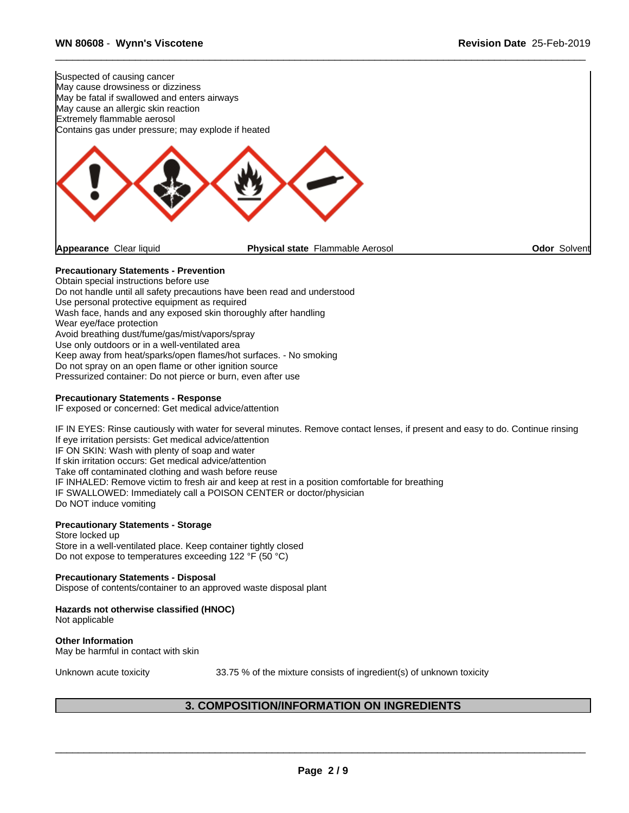

Obtain special instructions before use Do not handle until all safety precautions have been read and understood Use personal protective equipment as required Wash face, hands and any exposed skin thoroughly after handling Wear eye/face protection Avoid breathing dust/fume/gas/mist/vapors/spray Use only outdoors or in a well-ventilated area Keep away from heat/sparks/open flames/hot surfaces. - No smoking Do not spray on an open flame or other ignition source Pressurized container: Do not pierce or burn, even after use

#### **Precautionary Statements - Response**

IF exposed or concerned: Get medical advice/attention

IF IN EYES: Rinse cautiously with water for several minutes. Remove contact lenses, if present and easy to do. Continue rinsing If eye irritation persists: Get medical advice/attention IF ON SKIN: Wash with plenty of soap and water If skin irritation occurs: Get medical advice/attention Take off contaminated clothing and wash before reuse IF INHALED: Remove victim to fresh air and keep at rest in a position comfortable for breathing IF SWALLOWED: Immediately call a POISON CENTER or doctor/physician Do NOT induce vomiting

# **Precautionary Statements - Storage**

Store locked up Store in a well-ventilated place. Keep container tightly closed Do not expose to temperatures exceeding 122 °F (50 °C)

#### **Precautionary Statements - Disposal**

Dispose of contents/container to an approved waste disposal plant

# **Hazards not otherwise classified (HNOC)**

Not applicable

#### **Other Information** May be harmful in contact with skin

Unknown acute toxicity 33.75 % of the mixture consists of ingredient(s) of unknown toxicity

 $\overline{\phantom{a}}$  ,  $\overline{\phantom{a}}$  ,  $\overline{\phantom{a}}$  ,  $\overline{\phantom{a}}$  ,  $\overline{\phantom{a}}$  ,  $\overline{\phantom{a}}$  ,  $\overline{\phantom{a}}$  ,  $\overline{\phantom{a}}$  ,  $\overline{\phantom{a}}$  ,  $\overline{\phantom{a}}$  ,  $\overline{\phantom{a}}$  ,  $\overline{\phantom{a}}$  ,  $\overline{\phantom{a}}$  ,  $\overline{\phantom{a}}$  ,  $\overline{\phantom{a}}$  ,  $\overline{\phantom{a}}$ 

# **3. COMPOSITION/INFORMATION ON INGREDIENTS**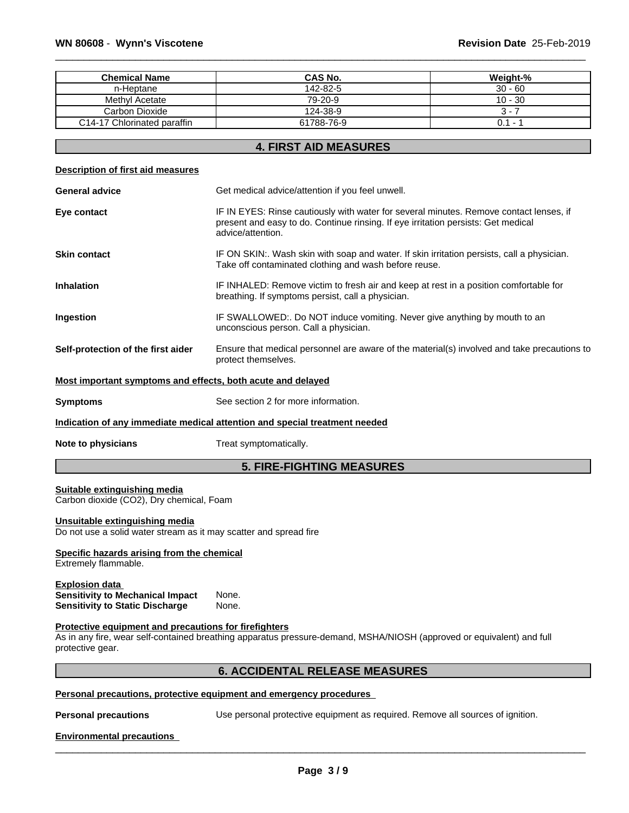| <b>Chemical Name</b>        | <b>CAS No.</b> | Weight-%  |
|-----------------------------|----------------|-----------|
| n-Heptane                   | 142-82-5       | $30 - 60$ |
| Methyl Acetate              | 79-20-9        | $10 - 30$ |
| Carbon Dioxide              | 124-38-9       | ' - ن     |
| C14-17 Chlorinated paraffin | 61788-76-9     | 0.1 -     |

#### **4. FIRST AID MEASURES**

#### **Description of first aid measures**

| <b>General advice</b>                                       | Get medical advice/attention if you feel unwell.                                                                                                                                                 |  |
|-------------------------------------------------------------|--------------------------------------------------------------------------------------------------------------------------------------------------------------------------------------------------|--|
| Eye contact                                                 | IF IN EYES: Rinse cautiously with water for several minutes. Remove contact lenses, if<br>present and easy to do. Continue rinsing. If eye irritation persists: Get medical<br>advice/attention. |  |
| <b>Skin contact</b>                                         | IF ON SKIN:. Wash skin with soap and water. If skin irritation persists, call a physician.<br>Take off contaminated clothing and wash before reuse.                                              |  |
| <b>Inhalation</b>                                           | IF INHALED: Remove victim to fresh air and keep at rest in a position comfortable for<br>breathing. If symptoms persist, call a physician.                                                       |  |
| Ingestion                                                   | IF SWALLOWED:. Do NOT induce vomiting. Never give anything by mouth to an<br>unconscious person. Call a physician.                                                                               |  |
| Self-protection of the first aider                          | Ensure that medical personnel are aware of the material(s) involved and take precautions to<br>protect themselves.                                                                               |  |
| Most important symptoms and effects, both acute and delayed |                                                                                                                                                                                                  |  |
| <b>Symptoms</b>                                             | See section 2 for more information.                                                                                                                                                              |  |
|                                                             | Indication of any immediate medical attention and special treatment needed                                                                                                                       |  |
| Note to physicians                                          | Treat symptomatically.                                                                                                                                                                           |  |

#### **5. FIRE-FIGHTING MEASURES**

#### **Suitable extinguishing media**

Carbon dioxide (CO2), Dry chemical, Foam

#### **Unsuitable extinguishing media**

Do not use a solid water stream as it may scatter and spread fire

# **Specific hazards arising from the chemical**

Extremely flammable.

#### **Explosion data Sensitivity to Mechanical Impact** None. **Sensitivity to Static Discharge**

#### **Protective equipment and precautions for firefighters**

As in any fire, wear self-contained breathing apparatus pressure-demand, MSHA/NIOSH (approved or equivalent) and full protective gear.

#### **6. ACCIDENTAL RELEASE MEASURES**

#### **Personal precautions, protective equipment and emergency procedures**

**Personal precautions** Use personal protective equipment as required.Remove all sources of ignition.

 $\overline{\phantom{a}}$  ,  $\overline{\phantom{a}}$  ,  $\overline{\phantom{a}}$  ,  $\overline{\phantom{a}}$  ,  $\overline{\phantom{a}}$  ,  $\overline{\phantom{a}}$  ,  $\overline{\phantom{a}}$  ,  $\overline{\phantom{a}}$  ,  $\overline{\phantom{a}}$  ,  $\overline{\phantom{a}}$  ,  $\overline{\phantom{a}}$  ,  $\overline{\phantom{a}}$  ,  $\overline{\phantom{a}}$  ,  $\overline{\phantom{a}}$  ,  $\overline{\phantom{a}}$  ,  $\overline{\phantom{a}}$ 

#### **Environmental precautions**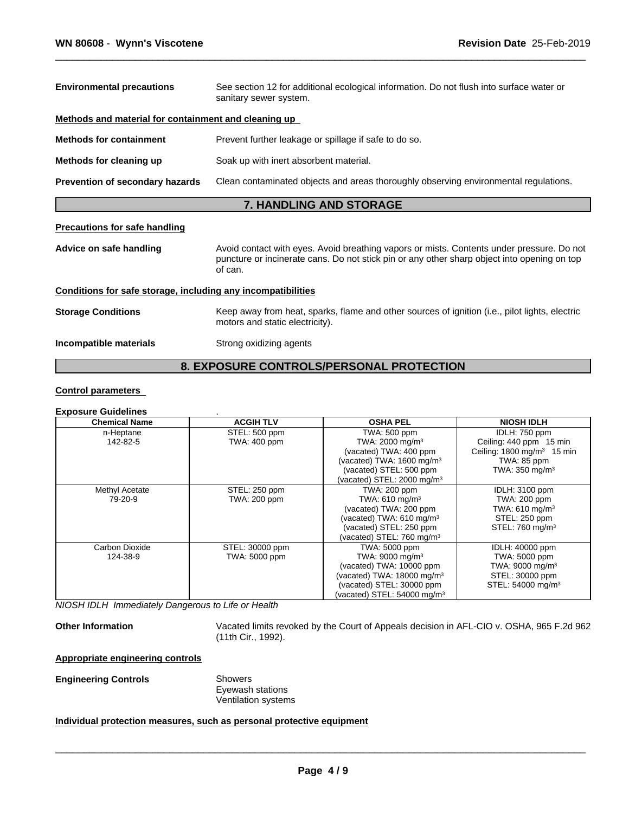| Methods and material for containment and cleaning up<br>Prevent further leakage or spillage if safe to do so.<br>Soak up with inert absorbent material.<br>Clean contaminated objects and areas thoroughly observing environmental regulations.<br><b>7. HANDLING AND STORAGE</b><br>Avoid contact with eyes. Avoid breathing vapors or mists. Contents under pressure. Do not<br>puncture or incinerate cans. Do not stick pin or any other sharp object into opening on top<br>of can.<br>Keep away from heat, sparks, flame and other sources of ignition (i.e., pilot lights, electric<br>motors and static electricity).<br>Strong oxidizing agents | <b>Environmental precautions</b>                             | See section 12 for additional ecological information. Do not flush into surface water or<br>sanitary sewer system. |  |  |  |
|----------------------------------------------------------------------------------------------------------------------------------------------------------------------------------------------------------------------------------------------------------------------------------------------------------------------------------------------------------------------------------------------------------------------------------------------------------------------------------------------------------------------------------------------------------------------------------------------------------------------------------------------------------|--------------------------------------------------------------|--------------------------------------------------------------------------------------------------------------------|--|--|--|
|                                                                                                                                                                                                                                                                                                                                                                                                                                                                                                                                                                                                                                                          |                                                              |                                                                                                                    |  |  |  |
|                                                                                                                                                                                                                                                                                                                                                                                                                                                                                                                                                                                                                                                          | <b>Methods for containment</b>                               |                                                                                                                    |  |  |  |
|                                                                                                                                                                                                                                                                                                                                                                                                                                                                                                                                                                                                                                                          | Methods for cleaning up                                      |                                                                                                                    |  |  |  |
|                                                                                                                                                                                                                                                                                                                                                                                                                                                                                                                                                                                                                                                          | Prevention of secondary hazards                              |                                                                                                                    |  |  |  |
|                                                                                                                                                                                                                                                                                                                                                                                                                                                                                                                                                                                                                                                          |                                                              |                                                                                                                    |  |  |  |
|                                                                                                                                                                                                                                                                                                                                                                                                                                                                                                                                                                                                                                                          | <b>Precautions for safe handling</b>                         |                                                                                                                    |  |  |  |
|                                                                                                                                                                                                                                                                                                                                                                                                                                                                                                                                                                                                                                                          | Advice on safe handling                                      |                                                                                                                    |  |  |  |
|                                                                                                                                                                                                                                                                                                                                                                                                                                                                                                                                                                                                                                                          | Conditions for safe storage, including any incompatibilities |                                                                                                                    |  |  |  |
|                                                                                                                                                                                                                                                                                                                                                                                                                                                                                                                                                                                                                                                          | <b>Storage Conditions</b>                                    |                                                                                                                    |  |  |  |
|                                                                                                                                                                                                                                                                                                                                                                                                                                                                                                                                                                                                                                                          | Incompatible materials                                       |                                                                                                                    |  |  |  |

# **8. EXPOSURE CONTROLS/PERSONAL PROTECTION**

#### **Control parameters**

#### **Exposure Guidelines** .

| <b>Chemical Name</b> | <b>ACGIH TLV</b> | <b>OSHA PEL</b>                         | <b>NIOSH IDLH</b>                     |
|----------------------|------------------|-----------------------------------------|---------------------------------------|
| n-Heptane            | STEL: 500 ppm    | <b>TWA: 500 ppm</b>                     | IDLH: 750 ppm                         |
| 142-82-5             | TWA: 400 ppm     | TWA: 2000 mg/m <sup>3</sup>             | Ceiling: 440 ppm 15 min               |
|                      |                  | (vacated) TWA: 400 ppm                  | Ceiling: $1800 \text{ mg/m}^3$ 15 min |
|                      |                  | (vacated) TWA: 1600 mg/m <sup>3</sup>   | TWA: 85 ppm                           |
|                      |                  | (vacated) STEL: 500 ppm                 | TWA: 350 mg/m <sup>3</sup>            |
|                      |                  | (vacated) STEL: 2000 mg/m <sup>3</sup>  |                                       |
| Methyl Acetate       | STEL: 250 ppm    | TWA: 200 ppm                            | <b>IDLH: 3100 ppm</b>                 |
| 79-20-9              | TWA: 200 ppm     | TWA: 610 mg/m <sup>3</sup>              | TWA: 200 ppm                          |
|                      |                  | (vacated) TWA: 200 ppm                  | TWA: 610 mg/m <sup>3</sup>            |
|                      |                  | (vacated) TWA: 610 mg/m <sup>3</sup>    | STEL: 250 ppm                         |
|                      |                  | (vacated) STEL: 250 ppm                 | STEL: 760 mg/m <sup>3</sup>           |
|                      |                  | (vacated) STEL: $760 \text{ mg/m}^3$    |                                       |
| Carbon Dioxide       | STEL: 30000 ppm  | TWA: 5000 ppm                           | IDLH: 40000 ppm                       |
| 124-38-9             | TWA: 5000 ppm    | TWA: 9000 mg/m <sup>3</sup>             | TWA: 5000 ppm                         |
|                      |                  | (vacated) TWA: 10000 ppm                | TWA: 9000 mg/m <sup>3</sup>           |
|                      |                  | (vacated) TWA: 18000 mg/m <sup>3</sup>  | STEL: 30000 ppm                       |
|                      |                  | (vacated) STEL: 30000 ppm               | STEL: 54000 mg/m <sup>3</sup>         |
|                      |                  | (vacated) STEL: 54000 mg/m <sup>3</sup> |                                       |

*NIOSH IDLH Immediately Dangerous to Life or Health*

Other Information **Vacated limits revoked by the Court of Appeals decision in AFL-CIO v. OSHA, 965 F.2d 962** (11th Cir., 1992).

#### **Appropriate engineering controls**

**Engineering Controls** Showers

Eyewash stations Ventilation systems

#### **Individual protection measures, such as personal protective equipment**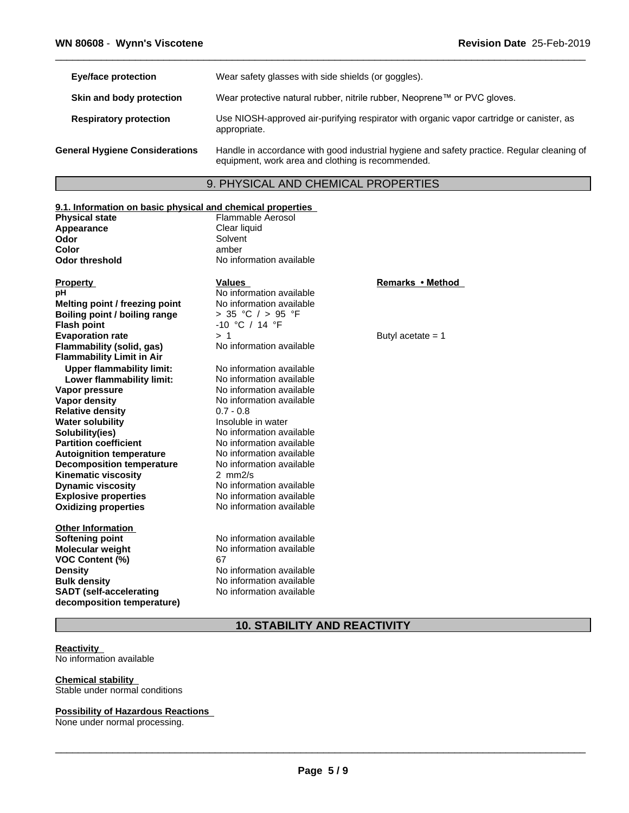| Eye/face protection                   | Wear safety glasses with side shields (or goggles).                                                                                             |
|---------------------------------------|-------------------------------------------------------------------------------------------------------------------------------------------------|
| Skin and body protection              | Wear protective natural rubber, nitrile rubber, Neoprene™ or PVC gloves.                                                                        |
| <b>Respiratory protection</b>         | Use NIOSH-approved air-purifying respirator with organic vapor cartridge or canister, as<br>appropriate.                                        |
| <b>General Hygiene Considerations</b> | Handle in accordance with good industrial hygiene and safety practice. Regular cleaning of<br>equipment, work area and clothing is recommended. |

# 9. PHYSICAL AND CHEMICAL PROPERTIES

| 9.1. Information on basic physical and chemical properties |                          |                     |  |  |  |
|------------------------------------------------------------|--------------------------|---------------------|--|--|--|
| <b>Physical state</b>                                      | Flammable Aerosol        |                     |  |  |  |
| Appearance                                                 | Clear liquid             |                     |  |  |  |
| Odor                                                       | Solvent                  |                     |  |  |  |
| Color                                                      | amber                    |                     |  |  |  |
| <b>Odor threshold</b>                                      | No information available |                     |  |  |  |
| <b>Property</b>                                            | <b>Values</b>            | Remarks • Method    |  |  |  |
| рH                                                         | No information available |                     |  |  |  |
| Melting point / freezing point                             | No information available |                     |  |  |  |
| Boiling point / boiling range                              | > 35 °C $/$ > 95 °F      |                     |  |  |  |
| <b>Flash point</b>                                         | $-10$ °C / 14 °F         |                     |  |  |  |
| <b>Evaporation rate</b>                                    | >1                       | Butyl acetate $= 1$ |  |  |  |
| Flammability (solid, gas)                                  | No information available |                     |  |  |  |
| <b>Flammability Limit in Air</b>                           |                          |                     |  |  |  |
| <b>Upper flammability limit:</b>                           | No information available |                     |  |  |  |
| Lower flammability limit:                                  | No information available |                     |  |  |  |
| Vapor pressure                                             | No information available |                     |  |  |  |
| Vapor density                                              | No information available |                     |  |  |  |
| <b>Relative density</b>                                    | $0.7 - 0.8$              |                     |  |  |  |
| <b>Water solubility</b>                                    | Insoluble in water       |                     |  |  |  |
| Solubility(ies)                                            | No information available |                     |  |  |  |
| <b>Partition coefficient</b>                               | No information available |                     |  |  |  |
| <b>Autoignition temperature</b>                            | No information available |                     |  |  |  |
| <b>Decomposition temperature</b>                           | No information available |                     |  |  |  |
| <b>Kinematic viscosity</b>                                 | $2$ mm $2/s$             |                     |  |  |  |
| <b>Dynamic viscosity</b>                                   | No information available |                     |  |  |  |
| <b>Explosive properties</b>                                | No information available |                     |  |  |  |
| <b>Oxidizing properties</b>                                | No information available |                     |  |  |  |
| <b>Other Information</b>                                   |                          |                     |  |  |  |
| <b>Softening point</b>                                     | No information available |                     |  |  |  |
| <b>Molecular weight</b>                                    | No information available |                     |  |  |  |
| <b>VOC Content (%)</b>                                     | 67                       |                     |  |  |  |
| <b>Density</b>                                             | No information available |                     |  |  |  |
| <b>Bulk density</b>                                        | No information available |                     |  |  |  |
| <b>SADT</b> (self-accelerating                             | No information available |                     |  |  |  |
| decomposition temperature)                                 |                          |                     |  |  |  |
|                                                            |                          |                     |  |  |  |

# **10. STABILITY AND REACTIVITY**

#### **Reactivity**

No information available

# **Chemical stability**

Stable under normal conditions

#### **Possibility of Hazardous Reactions**

None under normal processing.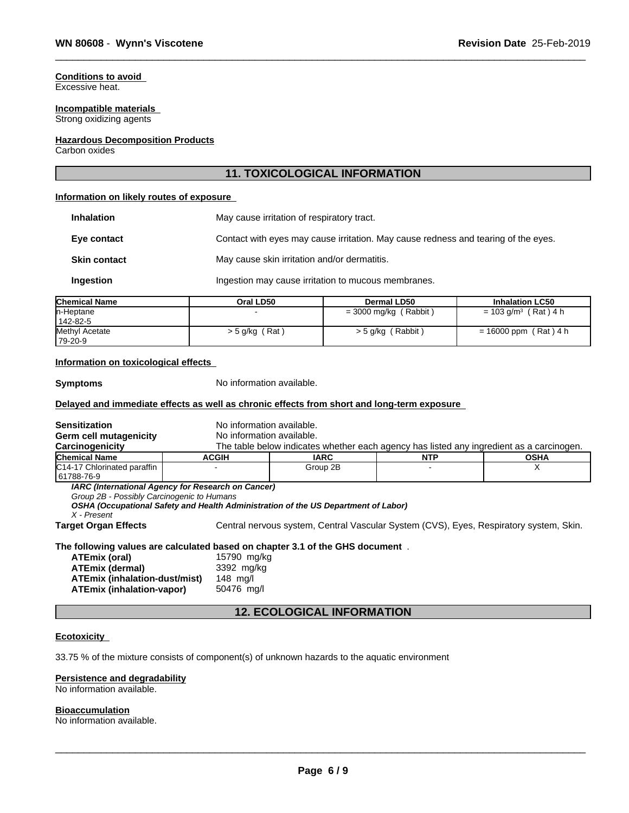#### **Conditions to avoid**

Excessive heat.

#### **Incompatible materials**

Strong oxidizing agents

#### **Hazardous Decomposition Products**

Carbon oxides

### **11. TOXICOLOGICAL INFORMATION**

#### **Information on likely routes of exposure**

| <b>Inhalation</b>   | May cause irritation of respiratory tract.                                         |
|---------------------|------------------------------------------------------------------------------------|
| Eye contact         | Contact with eyes may cause irritation. May cause redness and tearing of the eyes. |
| <b>Skin contact</b> | May cause skin irritation and/or dermatitis.                                       |
| Ingestion           | Ingestion may cause irritation to mucous membranes.                                |

| <b>Chemical Name</b> | Oral LD50          | <b>Dermal LD50</b>      | <b>Inhalation LC50</b>             |
|----------------------|--------------------|-------------------------|------------------------------------|
| n-Heptane            |                    | $=$ 3000 mg/kg (Rabbit) | $= 103$ g/m <sup>3</sup> (Rat) 4 h |
| 142-82-5             |                    |                         |                                    |
| Methyl Acetate       | `Rat<br>> 5 g/kg ( | $>$ 5 g/kg (Rabbit)     | $= 16000$ ppm (Rat) 4 h            |
| 179-20-9             |                    |                         |                                    |

#### **Information on toxicological effects**

**Symptoms** No information available.

#### **Delayed and immediate effects as well as chronic effects from short and long-term exposure**

| Sensitization<br>Germ cell mutagenicity                   | No information available.<br>No information available.                                                                                   |             |                                                                                          |             |
|-----------------------------------------------------------|------------------------------------------------------------------------------------------------------------------------------------------|-------------|------------------------------------------------------------------------------------------|-------------|
| Carcinogenicity                                           |                                                                                                                                          |             | The table below indicates whether each agency has listed any ingredient as a carcinogen. |             |
| Chemical Name                                             | <b>ACGIH</b>                                                                                                                             | <b>IARC</b> | <b>NTP</b>                                                                               | <b>OSHA</b> |
| C14-17 Chlorinated paraffin<br>61788-76-9                 |                                                                                                                                          | Group 2B    |                                                                                          | х           |
| Group 2B - Possibly Carcinogenic to Humans<br>X - Present | IARC (International Agency for Research on Cancer)<br>OSHA (Occupational Safety and Health Administration of the US Department of Labor) |             |                                                                                          |             |
| Target Organ Effects                                      |                                                                                                                                          |             | Central nervous system, Central Vascular System (CVS), Eyes, Respiratory system, Skin.   |             |
|                                                           | The following values are calculated based on chapter 3.1 of the GHS document $\,$ .                                                      |             |                                                                                          |             |
| ATEmix (oral)                                             | 15790 mg/kg                                                                                                                              |             |                                                                                          |             |
| <b>ATEmix (dermal)</b>                                    | 3392 mg/kg                                                                                                                               |             |                                                                                          |             |

#### **12. ECOLOGICAL INFORMATION**

#### **Ecotoxicity**

33.75 % of the mixture consists of component(s) of unknown hazards to the aquatic environment

#### **Persistence and degradability**

**ATEmix (inhalation-vapor)** 

**ATEmix (inhalation-dust/mist)** 148 mg/l

No information available.

#### **Bioaccumulation**

No information available.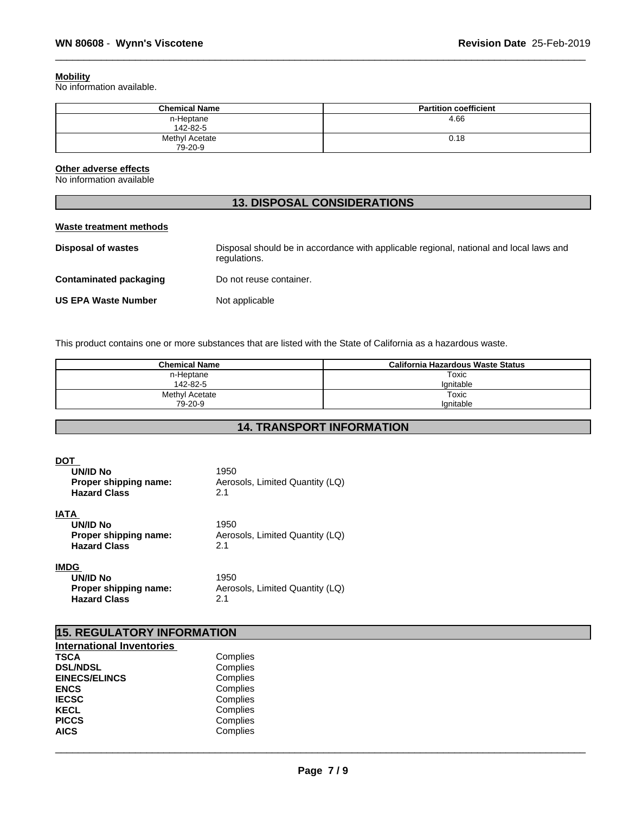#### **Mobility**

No information available.

| <b>Chemical Name</b>      | <b>Partition coefficient</b> |
|---------------------------|------------------------------|
| n-Heptane<br>142-82-5     | 4.66                         |
| Methyl Acetate<br>79-20-9 | 0.18                         |

# **Other adverse effects**

No information available

# **13. DISPOSAL CONSIDERATIONS**

#### **Waste treatment methods**

| <b>Disposal of wastes</b>     | Disposal should be in accordance with applicable regional, national and local laws and<br>regulations. |
|-------------------------------|--------------------------------------------------------------------------------------------------------|
| <b>Contaminated packaging</b> | Do not reuse container.                                                                                |
| <b>US EPA Waste Number</b>    | Not applicable                                                                                         |

This product contains one or more substances that are listed with the State of California as a hazardous waste.

| <b>Chemical Name</b> | California Hazardous Waste Status |
|----------------------|-----------------------------------|
| n-Heptane            | Toxic                             |
| 142-82-5             | lanitable                         |
| Methyl Acetate       | Toxic                             |
| 79-20-9              | Ignitable                         |

# **14. TRANSPORT INFORMATION**

#### **DOT**

| <b>UN/ID No</b><br>Proper shipping name:<br><b>Hazard Class</b>         | 1950<br>Aerosols, Limited Quantity (LQ)<br>2.1 |  |
|-------------------------------------------------------------------------|------------------------------------------------|--|
| IATA<br>UN/ID No<br>Proper shipping name:<br><b>Hazard Class</b>        | 1950<br>Aerosols, Limited Quantity (LQ)<br>2.1 |  |
| IMDG<br><b>UN/ID No</b><br>Proper shipping name:<br><b>Hazard Class</b> | 1950<br>Aerosols, Limited Quantity (LQ)<br>2.1 |  |

| <b>15. REGULATORY INFORMATION</b> |          |  |
|-----------------------------------|----------|--|
| <b>International Inventories</b>  |          |  |
| <b>TSCA</b>                       | Complies |  |
| <b>DSL/NDSL</b>                   | Complies |  |
| <b>EINECS/ELINCS</b>              | Complies |  |
| <b>ENCS</b>                       | Complies |  |
| <b>IECSC</b>                      | Complies |  |
| <b>KECL</b>                       | Complies |  |
| <b>PICCS</b>                      | Complies |  |
| <b>AICS</b>                       | Complies |  |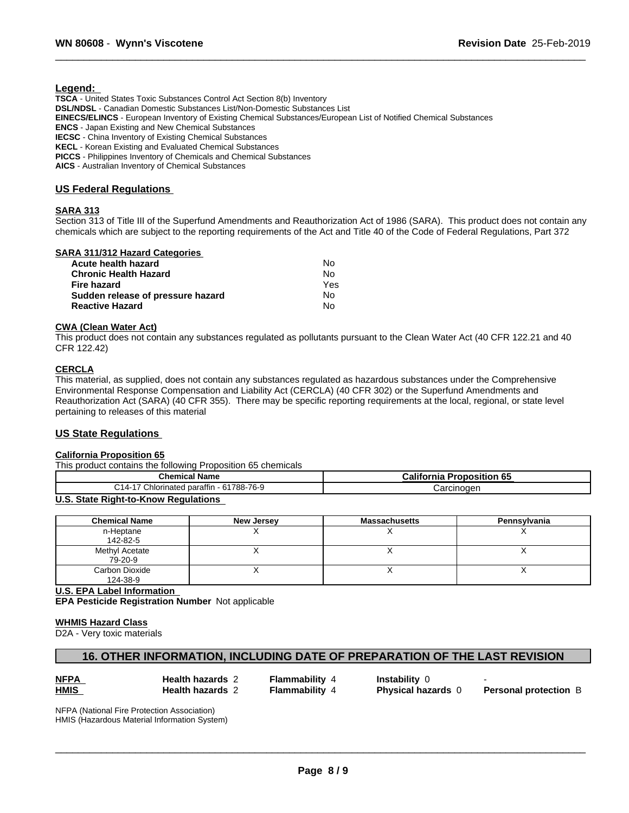#### **Legend:**

**TSCA** - United States Toxic Substances Control Act Section 8(b) Inventory **DSL/NDSL** - Canadian Domestic Substances List/Non-Domestic Substances List **EINECS/ELINCS** - European Inventory of Existing Chemical Substances/European List of Notified Chemical Substances **ENCS** - Japan Existing and New Chemical Substances **IECSC** - China Inventory of Existing Chemical Substances **KECL** - Korean Existing and Evaluated Chemical Substances **PICCS** - Philippines Inventory of Chemicals and Chemical Substances **AICS** - Australian Inventory of Chemical Substances

#### **US Federal Regulations**

#### **SARA 313**

Section 313 of Title III of the Superfund Amendments and Reauthorization Act of 1986 (SARA). This product does not contain any chemicals which are subject to the reporting requirements of the Act and Title 40 of the Code of Federal Regulations, Part 372

### **SARA 311/312 Hazard Categories**

| Acute health hazard               | Nο  |
|-----------------------------------|-----|
| <b>Chronic Health Hazard</b>      | N٥  |
| Fire hazard                       | Yes |
| Sudden release of pressure hazard | N٥  |
| <b>Reactive Hazard</b>            | N٥  |

#### **CWA** (Clean Water Act)

This product does not contain any substances regulated as pollutants pursuant to the Clean Water Act (40 CFR 122.21 and 40 CFR 122.42)

#### **CERCLA**

This material, as supplied, does not contain any substances regulated as hazardous substances under the Comprehensive Environmental Response Compensation and Liability Act (CERCLA) (40 CFR 302) or the Superfund Amendments and Reauthorization Act (SARA) (40 CFR 355). There may be specific reporting requirements at the local, regional, or state level pertaining to releases of this material

#### **US State Regulations**

#### **California Proposition 65**

This product contains the following Proposition 65 chemicals

| $n$ ar<br>Name<br>mıc:<br>.                                           | c F<br>- 1965<br>----<br>וור<br>-00<br>.<br>шс |
|-----------------------------------------------------------------------|------------------------------------------------|
| 1788-76-9<br>--<br>ົ<br>Chlorinated.<br>∼<br>$\sim$<br>ırattır<br>. 4 | $2$ r $\sim$                                   |

#### **U.S. State Right-to-Know Regulations**

| <b>Chemical Name</b> | <b>New Jersey</b> | <b>Massachusetts</b> | Pennsylvania |
|----------------------|-------------------|----------------------|--------------|
| n-Heptane            |                   |                      |              |
| 142-82-5             |                   |                      |              |
| Methyl Acetate       |                   |                      |              |
| 79-20-9              |                   |                      |              |
| Carbon Dioxide       |                   |                      |              |
| 124-38-9             |                   |                      |              |

**U.S. EPA Label Information EPA Pesticide Registration Number** Notapplicable

#### **WHMIS Hazard Class**

D2A - Very toxic materials

# **16. OTHER INFORMATION, INCLUDING DATE OF PREPARATION OF THE LAST REVISION**

| ы      |  |
|--------|--|
| Λ<br>N |  |

**Health hazards** 2 - Flammability 4 - Instability 0

 $\overline{\phantom{a}}$  ,  $\overline{\phantom{a}}$  ,  $\overline{\phantom{a}}$  ,  $\overline{\phantom{a}}$  ,  $\overline{\phantom{a}}$  ,  $\overline{\phantom{a}}$  ,  $\overline{\phantom{a}}$  ,  $\overline{\phantom{a}}$  ,  $\overline{\phantom{a}}$  ,  $\overline{\phantom{a}}$  ,  $\overline{\phantom{a}}$  ,  $\overline{\phantom{a}}$  ,  $\overline{\phantom{a}}$  ,  $\overline{\phantom{a}}$  ,  $\overline{\phantom{a}}$  ,  $\overline{\phantom{a}}$ 

**Health hazards** 2 **Flammability** 4 **Physical hazards** 0 **Personal protection** B

NFPA (National Fire Protection Association) HMIS (Hazardous Material Information System)